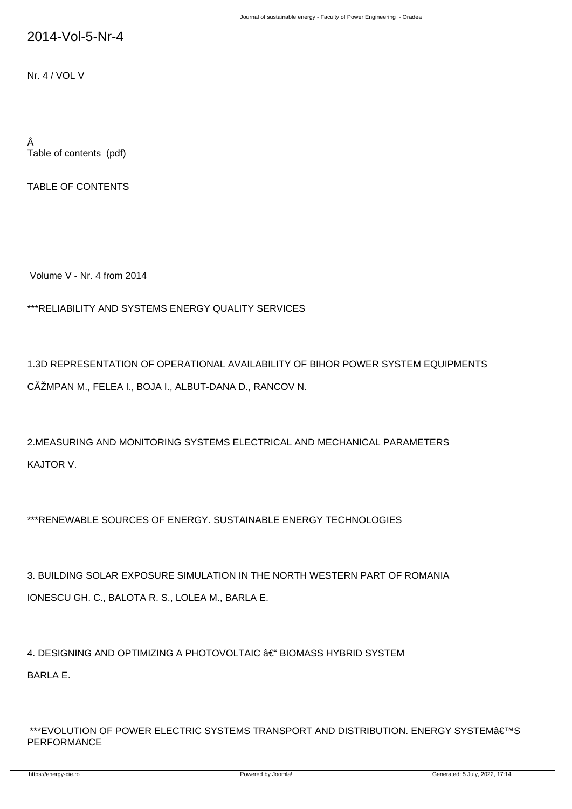## 2014-Vol-5-Nr-4

Nr. 4 / VOL V

Â Table of contents (pdf)

TABLE OF CONTENTS

Volume V - Nr. 4 from 2014

\*\*\*RELIABILITY AND SYSTEMS ENERGY QUALITY SERVICES

1.3D REPRESENTATION OF OPERATIONAL AVAILABILITY OF BIHOR POWER SYSTEM EQUIPMENTS CÃŽMPAN M., FELEA I., BOJA I., ALBUT-DANA D., RANCOV N.

2.MEASURING AND MONITORING SYSTEMS ELECTRICAL AND MECHANICAL PARAMETERS KAJTOR V.

\*\*\*RENEWABLE SOURCES OF ENERGY. SUSTAINABLE ENERGY TECHNOLOGIES

3. BUILDING SOLAR EXPOSURE SIMULATION IN THE NORTH WESTERN PART OF ROMANIA IONESCU GH. C., BALOTA R. S., LOLEA M., BARLA E.

4. DESIGNING AND OPTIMIZING A PHOTOVOLTAIC – BIOMASS HYBRID SYSTEM BARLA E.

\*\*\*EVOLUTION OF POWER ELECTRIC SYSTEMS TRANSPORT AND DISTRIBUTION. ENERGY SYSTEM'S PERFORMANCE